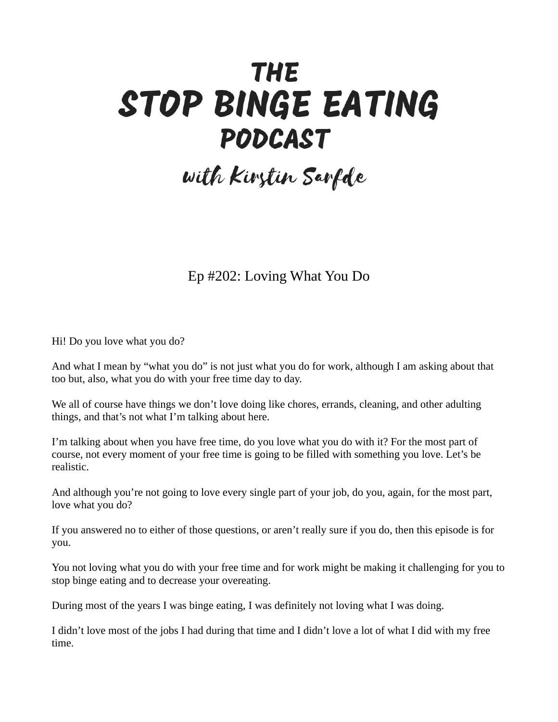## **THE** STOP BINGE EATING PODCAST

## with Kirstin Sarfde

## Ep #202: Loving What You Do

Hi! Do you love what you do?

And what I mean by "what you do" is not just what you do for work, although I am asking about that too but, also, what you do with your free time day to day.

We all of course have things we don't love doing like chores, errands, cleaning, and other adulting things, and that's not what I'm talking about here.

I'm talking about when you have free time, do you love what you do with it? For the most part of course, not every moment of your free time is going to be filled with something you love. Let's be realistic.

And although you're not going to love every single part of your job, do you, again, for the most part, love what you do?

If you answered no to either of those questions, or aren't really sure if you do, then this episode is for you.

You not loving what you do with your free time and for work might be making it challenging for you to stop binge eating and to decrease your overeating.

During most of the years I was binge eating, I was definitely not loving what I was doing.

I didn't love most of the jobs I had during that time and I didn't love a lot of what I did with my free time.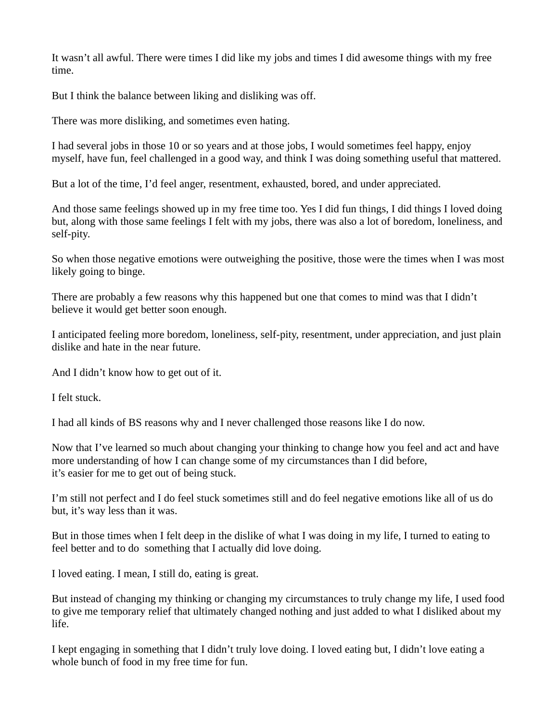It wasn't all awful. There were times I did like my jobs and times I did awesome things with my free time.

But I think the balance between liking and disliking was off.

There was more disliking, and sometimes even hating.

I had several jobs in those 10 or so years and at those jobs, I would sometimes feel happy, enjoy myself, have fun, feel challenged in a good way, and think I was doing something useful that mattered.

But a lot of the time, I'd feel anger, resentment, exhausted, bored, and under appreciated.

And those same feelings showed up in my free time too. Yes I did fun things, I did things I loved doing but, along with those same feelings I felt with my jobs, there was also a lot of boredom, loneliness, and self-pity.

So when those negative emotions were outweighing the positive, those were the times when I was most likely going to binge.

There are probably a few reasons why this happened but one that comes to mind was that I didn't believe it would get better soon enough.

I anticipated feeling more boredom, loneliness, self-pity, resentment, under appreciation, and just plain dislike and hate in the near future.

And I didn't know how to get out of it.

I felt stuck.

I had all kinds of BS reasons why and I never challenged those reasons like I do now.

Now that I've learned so much about changing your thinking to change how you feel and act and have more understanding of how I can change some of my circumstances than I did before, it's easier for me to get out of being stuck.

I'm still not perfect and I do feel stuck sometimes still and do feel negative emotions like all of us do but, it's way less than it was.

But in those times when I felt deep in the dislike of what I was doing in my life, I turned to eating to feel better and to do something that I actually did love doing.

I loved eating. I mean, I still do, eating is great.

But instead of changing my thinking or changing my circumstances to truly change my life, I used food to give me temporary relief that ultimately changed nothing and just added to what I disliked about my life.

I kept engaging in something that I didn't truly love doing. I loved eating but, I didn't love eating a whole bunch of food in my free time for fun.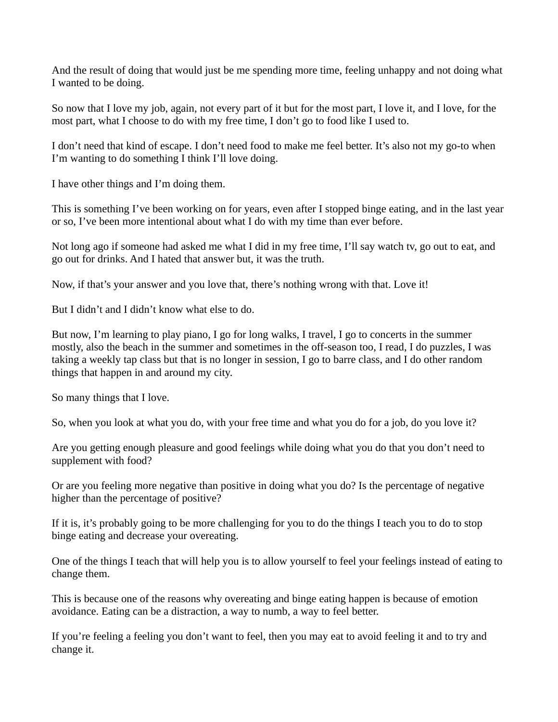And the result of doing that would just be me spending more time, feeling unhappy and not doing what I wanted to be doing.

So now that I love my job, again, not every part of it but for the most part, I love it, and I love, for the most part, what I choose to do with my free time, I don't go to food like I used to.

I don't need that kind of escape. I don't need food to make me feel better. It's also not my go-to when I'm wanting to do something I think I'll love doing.

I have other things and I'm doing them.

This is something I've been working on for years, even after I stopped binge eating, and in the last year or so, I've been more intentional about what I do with my time than ever before.

Not long ago if someone had asked me what I did in my free time, I'll say watch tv, go out to eat, and go out for drinks. And I hated that answer but, it was the truth.

Now, if that's your answer and you love that, there's nothing wrong with that. Love it!

But I didn't and I didn't know what else to do.

But now, I'm learning to play piano, I go for long walks, I travel, I go to concerts in the summer mostly, also the beach in the summer and sometimes in the off-season too, I read, I do puzzles, I was taking a weekly tap class but that is no longer in session, I go to barre class, and I do other random things that happen in and around my city.

So many things that I love.

So, when you look at what you do, with your free time and what you do for a job, do you love it?

Are you getting enough pleasure and good feelings while doing what you do that you don't need to supplement with food?

Or are you feeling more negative than positive in doing what you do? Is the percentage of negative higher than the percentage of positive?

If it is, it's probably going to be more challenging for you to do the things I teach you to do to stop binge eating and decrease your overeating.

One of the things I teach that will help you is to allow yourself to feel your feelings instead of eating to change them.

This is because one of the reasons why overeating and binge eating happen is because of emotion avoidance. Eating can be a distraction, a way to numb, a way to feel better.

If you're feeling a feeling you don't want to feel, then you may eat to avoid feeling it and to try and change it.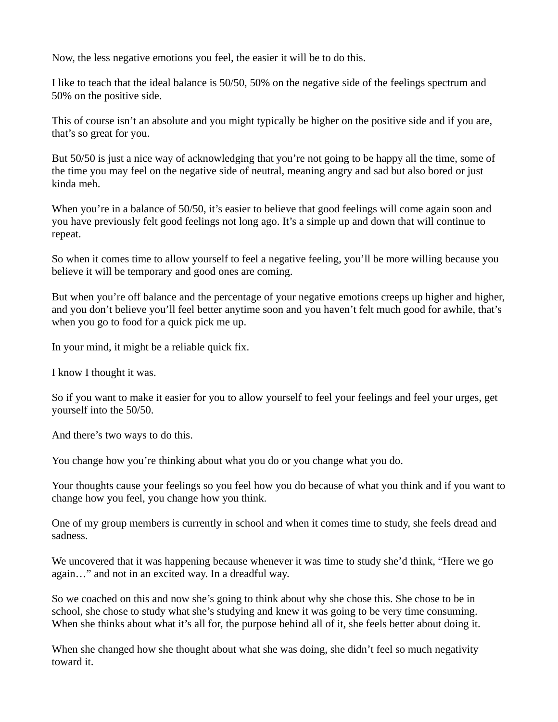Now, the less negative emotions you feel, the easier it will be to do this.

I like to teach that the ideal balance is 50/50, 50% on the negative side of the feelings spectrum and 50% on the positive side.

This of course isn't an absolute and you might typically be higher on the positive side and if you are, that's so great for you.

But 50/50 is just a nice way of acknowledging that you're not going to be happy all the time, some of the time you may feel on the negative side of neutral, meaning angry and sad but also bored or just kinda meh.

When you're in a balance of 50/50, it's easier to believe that good feelings will come again soon and you have previously felt good feelings not long ago. It's a simple up and down that will continue to repeat.

So when it comes time to allow yourself to feel a negative feeling, you'll be more willing because you believe it will be temporary and good ones are coming.

But when you're off balance and the percentage of your negative emotions creeps up higher and higher, and you don't believe you'll feel better anytime soon and you haven't felt much good for awhile, that's when you go to food for a quick pick me up.

In your mind, it might be a reliable quick fix.

I know I thought it was.

So if you want to make it easier for you to allow yourself to feel your feelings and feel your urges, get yourself into the 50/50.

And there's two ways to do this.

You change how you're thinking about what you do or you change what you do.

Your thoughts cause your feelings so you feel how you do because of what you think and if you want to change how you feel, you change how you think.

One of my group members is currently in school and when it comes time to study, she feels dread and sadness.

We uncovered that it was happening because whenever it was time to study she'd think, "Here we go again…" and not in an excited way. In a dreadful way.

So we coached on this and now she's going to think about why she chose this. She chose to be in school, she chose to study what she's studying and knew it was going to be very time consuming. When she thinks about what it's all for, the purpose behind all of it, she feels better about doing it.

When she changed how she thought about what she was doing, she didn't feel so much negativity toward it.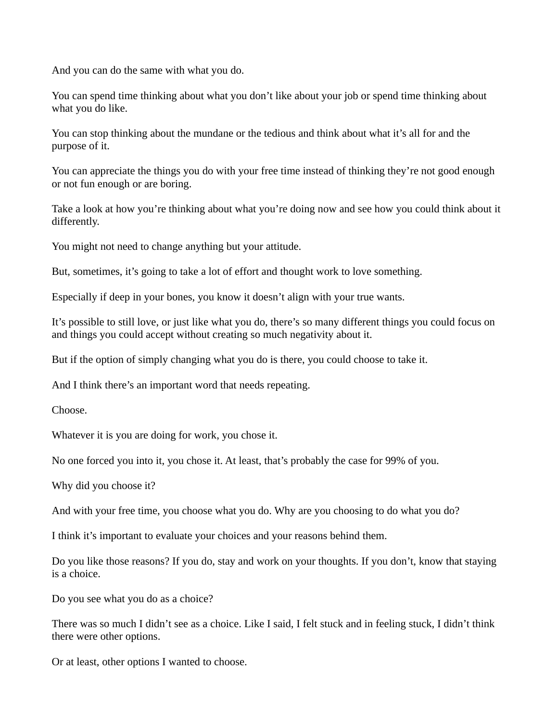And you can do the same with what you do.

You can spend time thinking about what you don't like about your job or spend time thinking about what you do like.

You can stop thinking about the mundane or the tedious and think about what it's all for and the purpose of it.

You can appreciate the things you do with your free time instead of thinking they're not good enough or not fun enough or are boring.

Take a look at how you're thinking about what you're doing now and see how you could think about it differently.

You might not need to change anything but your attitude.

But, sometimes, it's going to take a lot of effort and thought work to love something.

Especially if deep in your bones, you know it doesn't align with your true wants.

It's possible to still love, or just like what you do, there's so many different things you could focus on and things you could accept without creating so much negativity about it.

But if the option of simply changing what you do is there, you could choose to take it.

And I think there's an important word that needs repeating.

Choose.

Whatever it is you are doing for work, you chose it.

No one forced you into it, you chose it. At least, that's probably the case for 99% of you.

Why did you choose it?

And with your free time, you choose what you do. Why are you choosing to do what you do?

I think it's important to evaluate your choices and your reasons behind them.

Do you like those reasons? If you do, stay and work on your thoughts. If you don't, know that staying is a choice.

Do you see what you do as a choice?

There was so much I didn't see as a choice. Like I said, I felt stuck and in feeling stuck, I didn't think there were other options.

Or at least, other options I wanted to choose.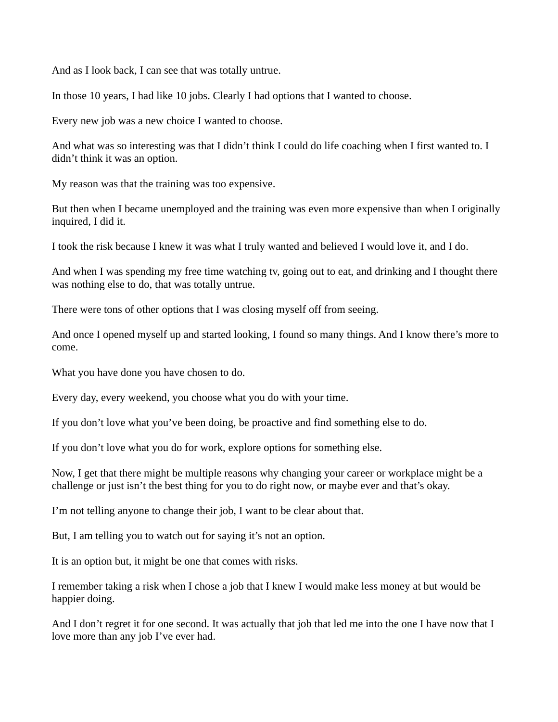And as I look back, I can see that was totally untrue.

In those 10 years, I had like 10 jobs. Clearly I had options that I wanted to choose.

Every new job was a new choice I wanted to choose.

And what was so interesting was that I didn't think I could do life coaching when I first wanted to. I didn't think it was an option.

My reason was that the training was too expensive.

But then when I became unemployed and the training was even more expensive than when I originally inquired, I did it.

I took the risk because I knew it was what I truly wanted and believed I would love it, and I do.

And when I was spending my free time watching tv, going out to eat, and drinking and I thought there was nothing else to do, that was totally untrue.

There were tons of other options that I was closing myself off from seeing.

And once I opened myself up and started looking, I found so many things. And I know there's more to come.

What you have done you have chosen to do.

Every day, every weekend, you choose what you do with your time.

If you don't love what you've been doing, be proactive and find something else to do.

If you don't love what you do for work, explore options for something else.

Now, I get that there might be multiple reasons why changing your career or workplace might be a challenge or just isn't the best thing for you to do right now, or maybe ever and that's okay.

I'm not telling anyone to change their job, I want to be clear about that.

But, I am telling you to watch out for saying it's not an option.

It is an option but, it might be one that comes with risks.

I remember taking a risk when I chose a job that I knew I would make less money at but would be happier doing.

And I don't regret it for one second. It was actually that job that led me into the one I have now that I love more than any job I've ever had.